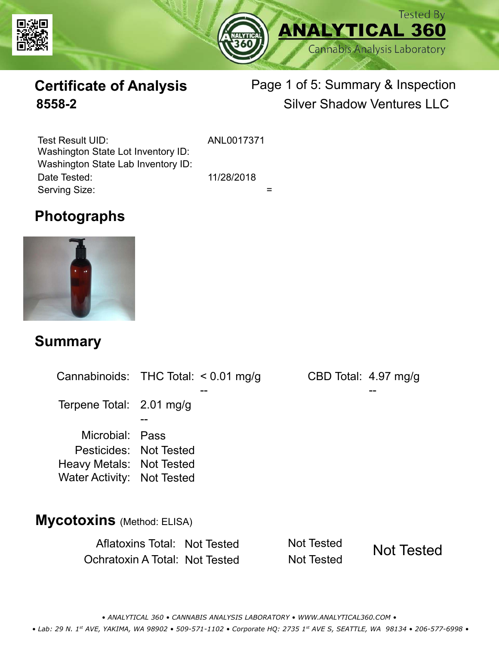



# **Certificate of Analysis**

# Page 1 of 5: Summary & Inspection **8558-2** Silver Shadow Ventures LLC

Serving Size:  $=$ Test Result UID: ANL0017371 Date Tested: 11/28/2018 Washington State Lot Inventory ID: Washington State Lab Inventory ID:

### **Photographs**



#### **Summary**

Cannabinoids: THC Total:  $< 0.01$  mg/g Terpene Total: 2.01 mg/g Microbial: Pass CBD Total: 4.97 mg/g Pesticides: Not Tested Heavy Metals: Not Tested -- -- -- Water Activity: Not Tested **Mycotoxins** (Method: ELISA)

> Aflatoxins Total: Not Tested Not Tested Ochratoxin A Total: Not Tested Not Tested Not Tested

*• ANALYTICAL 360 • CANNABIS ANALYSIS LABORATORY • WWW.ANALYTICAL360.COM • • Lab: 29 N. 1st AVE, YAKIMA, WA 98902 • 509-571-1102 • Corporate HQ: 2735 1st AVE S, SEATTLE, WA 98134 • 206-577-6998 •*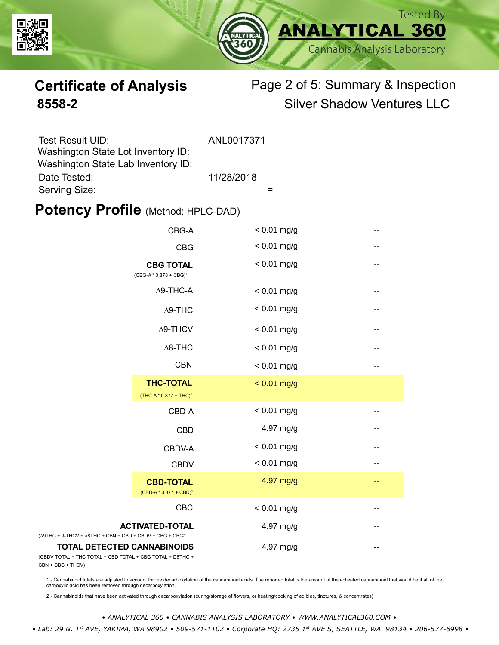



# **Certificate of Analysis** Page 2 of 5: Summary & Inspection **8558-2** Silver Shadow Ventures LLC

| Test Result UID:<br>Washington State Lot Inventory ID: | ANL0017371 |
|--------------------------------------------------------|------------|
| Washington State Lab Inventory ID:                     |            |
| Date Tested:                                           | 11/28/2018 |
| Serving Size:                                          |            |

#### **Potency Profile (Method: HPLC-DAD)**

|                                                                                                 | CBG-A                                                  | $< 0.01$ mg/g |                          |
|-------------------------------------------------------------------------------------------------|--------------------------------------------------------|---------------|--------------------------|
|                                                                                                 | <b>CBG</b>                                             | $< 0.01$ mg/g |                          |
|                                                                                                 | <b>CBG TOTAL</b><br>$(CBG-A * 0.878 + CBG)^1$          | $< 0.01$ mg/g | $\overline{\phantom{m}}$ |
|                                                                                                 | $\Delta$ 9-THC-A                                       | $< 0.01$ mg/g | $-$                      |
|                                                                                                 | $\Delta$ 9-THC                                         | $< 0.01$ mg/g | --                       |
|                                                                                                 | $\Delta$ 9-THCV                                        | $< 0.01$ mg/g | --                       |
|                                                                                                 | $\Delta$ 8-THC                                         | $< 0.01$ mg/g | --                       |
|                                                                                                 | <b>CBN</b>                                             | $< 0.01$ mg/g | --                       |
|                                                                                                 | <b>THC-TOTAL</b><br>(THC-A * 0.877 + THC) <sup>1</sup> | $< 0.01$ mg/g | --                       |
|                                                                                                 | CBD-A                                                  | $< 0.01$ mg/g | --                       |
|                                                                                                 | <b>CBD</b>                                             | 4.97 mg/g     | --                       |
|                                                                                                 | CBDV-A                                                 | $< 0.01$ mg/g |                          |
|                                                                                                 | <b>CBDV</b>                                            | $< 0.01$ mg/g | --                       |
|                                                                                                 | <b>CBD-TOTAL</b><br>$(CBD-A * 0.877 + CBD)^1$          | 4.97 mg/g     | $-$                      |
|                                                                                                 | <b>CBC</b>                                             | $< 0.01$ mg/g | ۰-                       |
| $(\Delta 9THC + 9-THCV + \Delta 8THC + CBN + CBD + CBDV + CBC + CBC)^2$                         | <b>ACTIVATED-TOTAL</b>                                 | 4.97 mg/g     |                          |
| <b>TOTAL DETECTED CANNABINOIDS</b><br>(CBDV TOTAL + THC TOTAL + CBD TOTAL + CBG TOTAL + D8THC + |                                                        | 4.97 mg/g     |                          |

(CBDV TOTAL + THC TOTA CBN + CBC + THCV)

1 - Cannabinoid totals are adjusted to account for the decarboxylation of the cannabinoid acids. The reported total is the amount of the activated cannabinoid that would be if all of the<br>carboxylic acid has been removed th

2 - Cannabinoids that have been activated through decarboxylation (curing/storage of flowers, or heating/cooking of edibles, tinctures, & concentrates)

*• ANALYTICAL 360 • CANNABIS ANALYSIS LABORATORY • WWW.ANALYTICAL360.COM •*

 *• Lab: 29 N. 1st AVE, YAKIMA, WA 98902 • 509-571-1102 • Corporate HQ: 2735 1st AVE S, SEATTLE, WA 98134 • 206-577-6998 •*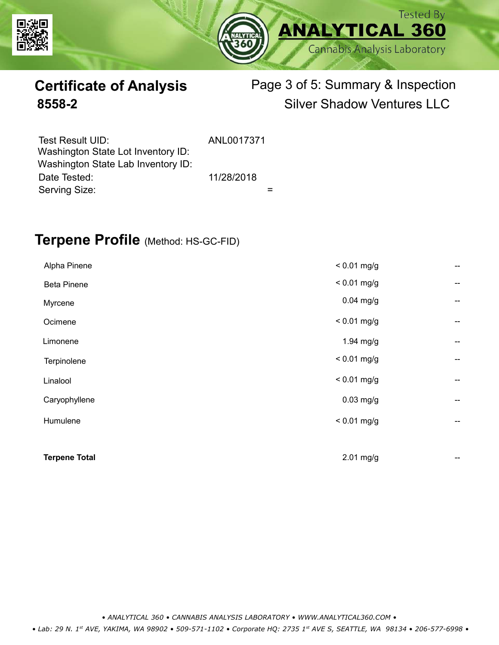



# **Certificate of Analysis** Page 3 of 5: Summary & Inspection **8558-2** Silver Shadow Ventures LLC

| Test Result UID:<br>Washington State Lot Inventory ID: | ANL0017371 |
|--------------------------------------------------------|------------|
| Washington State Lab Inventory ID:                     |            |
| Date Tested:                                           | 11/28/2018 |
| Serving Size:                                          |            |

### **Terpene Profile** (Method: HS-GC-FID)

| <b>Terpene Total</b> | $2.01$ mg/g   | --                       |
|----------------------|---------------|--------------------------|
|                      |               |                          |
| Humulene             | $< 0.01$ mg/g | $\overline{\phantom{m}}$ |
| Caryophyllene        | $0.03$ mg/g   | $\hspace{0.05cm}$        |
| Linalool             | $< 0.01$ mg/g | --                       |
| Terpinolene          | $< 0.01$ mg/g | --                       |
| Limonene             | 1.94 mg/g     | $\hspace{0.05cm}$        |
| Ocimene              | $< 0.01$ mg/g | --                       |
| Myrcene              | $0.04$ mg/g   | --                       |
| <b>Beta Pinene</b>   | $< 0.01$ mg/g | --                       |
| Alpha Pinene         | $< 0.01$ mg/g | --                       |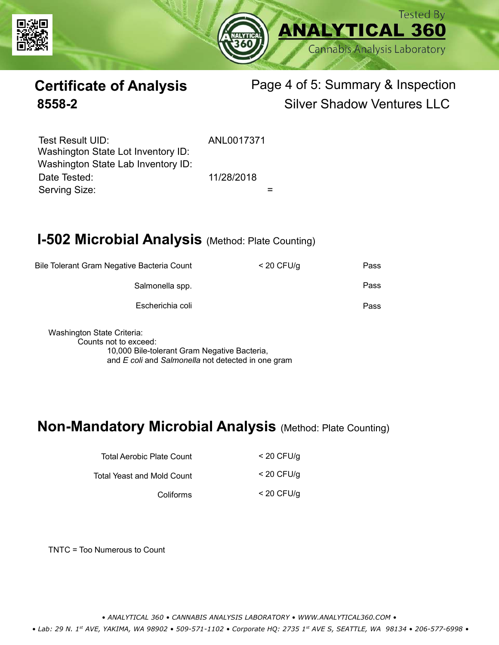



# **Certificate of Analysis** Page 4 of 5: Summary & Inspection **8558-2** Silver Shadow Ventures LLC

Serving Size:  $=$ Test Result UID: ANL0017371 Date Tested: 11/28/2018 Washington State Lot Inventory ID: Washington State Lab Inventory ID:

## **I-502 Microbial Analysis (Method: Plate Counting)**

| Pass | $<$ 20 CFU/g | Bile Tolerant Gram Negative Bacteria Count |
|------|--------------|--------------------------------------------|
| Pass |              | Salmonella spp.                            |
| Pass |              | Escherichia coli                           |
|      |              |                                            |

Washington State Criteria: Counts not to exceed: 10,000 Bile-tolerant Gram Negative Bacteria, and *E coli* and *Salmonella* not detected in one gram

#### **Non-Mandatory Microbial Analysis** (Method: Plate Counting)

| Total Aerobic Plate Count  | $<$ 20 CFU/g |
|----------------------------|--------------|
| Total Yeast and Mold Count | $<$ 20 CFU/g |
| Coliforms                  | $<$ 20 CFU/g |

TNTC = Too Numerous to Count

*• ANALYTICAL 360 • CANNABIS ANALYSIS LABORATORY • WWW.ANALYTICAL360.COM •*